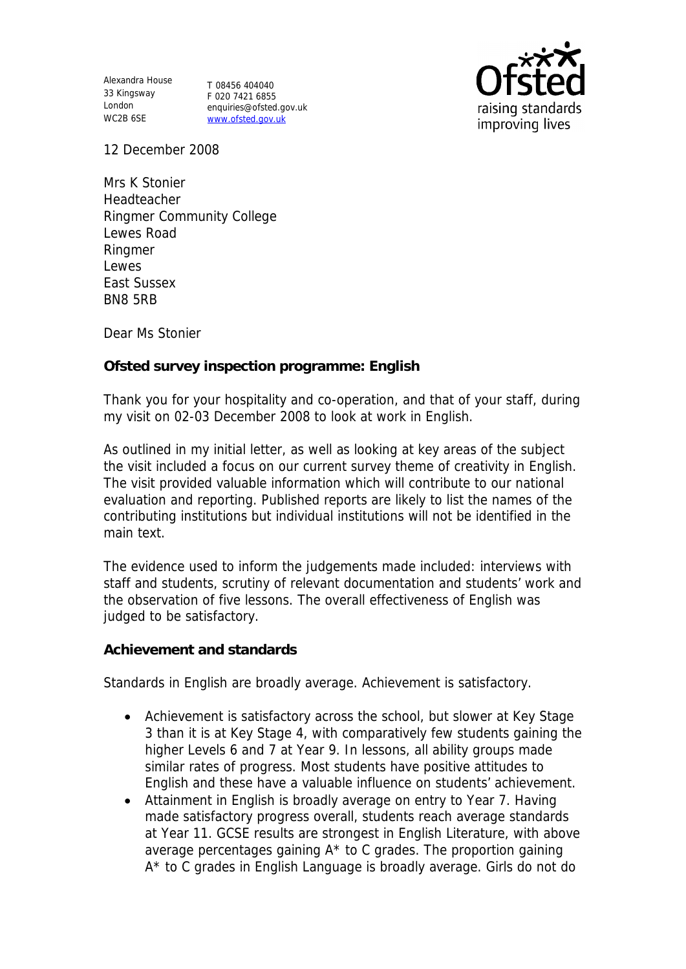Alexandra House 33 Kingsway T 08456 404040 London WC2B 6SE

F 020 7421 6855 enquiries@ofsted.gov.uk www.ofsted.gov.uk



12 December 2008

Mrs K Stonier **Headteacher** Ringmer Community College Lewes Road Ringmer Lewes East Sussex BN8 5RB

Dear Ms Stonier

**Ofsted survey inspection programme: English** 

Thank you for your hospitality and co-operation, and that of your staff, during my visit on 02-03 December 2008 to look at work in English.

As outlined in my initial letter, as well as looking at key areas of the subject the visit included a focus on our current survey theme of creativity in English. The visit provided valuable information which will contribute to our national evaluation and reporting. Published reports are likely to list the names of the contributing institutions but individual institutions will not be identified in the main text.

The evidence used to inform the judgements made included: interviews with staff and students, scrutiny of relevant documentation and students' work and the observation of five lessons. The overall effectiveness of English was judged to be satisfactory.

**Achievement and standards** 

Standards in English are broadly average. Achievement is satisfactory.

- Achievement is satisfactory across the school, but slower at Key Stage 3 than it is at Key Stage 4, with comparatively few students gaining the higher Levels 6 and 7 at Year 9. In lessons, all ability groups made similar rates of progress. Most students have positive attitudes to English and these have a valuable influence on students' achievement.
- Attainment in English is broadly average on entry to Year 7. Having made satisfactory progress overall, students reach average standards at Year 11. GCSE results are strongest in English Literature, with above average percentages gaining  $A^*$  to C grades. The proportion gaining A\* to C grades in English Language is broadly average. Girls do not do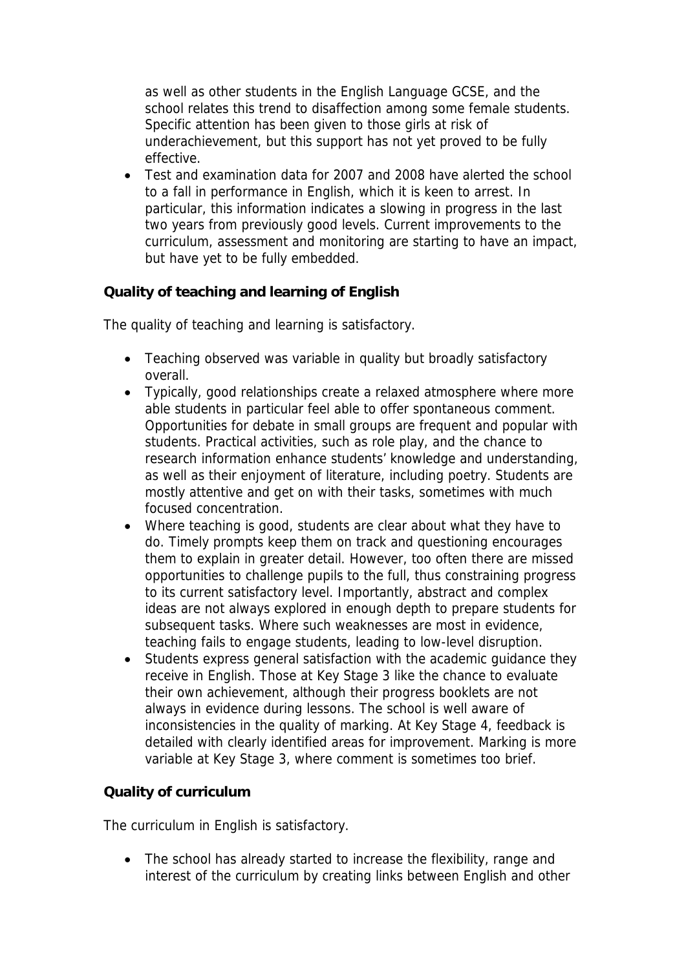as well as other students in the English Language GCSE, and the school relates this trend to disaffection among some female students. Specific attention has been given to those girls at risk of underachievement, but this support has not yet proved to be fully effective.

 Test and examination data for 2007 and 2008 have alerted the school to a fall in performance in English, which it is keen to arrest. In particular, this information indicates a slowing in progress in the last two years from previously good levels. Current improvements to the curriculum, assessment and monitoring are starting to have an impact, but have yet to be fully embedded.

**Quality of teaching and learning of English**

The quality of teaching and learning is satisfactory.

- Teaching observed was variable in quality but broadly satisfactory overall.
- Typically, good relationships create a relaxed atmosphere where more able students in particular feel able to offer spontaneous comment. Opportunities for debate in small groups are frequent and popular with students. Practical activities, such as role play, and the chance to research information enhance students' knowledge and understanding, as well as their enjoyment of literature, including poetry. Students are mostly attentive and get on with their tasks, sometimes with much focused concentration.
- Where teaching is good, students are clear about what they have to do. Timely prompts keep them on track and questioning encourages them to explain in greater detail. However, too often there are missed opportunities to challenge pupils to the full, thus constraining progress to its current satisfactory level. Importantly, abstract and complex ideas are not always explored in enough depth to prepare students for subsequent tasks. Where such weaknesses are most in evidence, teaching fails to engage students, leading to low-level disruption.
- Students express general satisfaction with the academic guidance they receive in English. Those at Key Stage 3 like the chance to evaluate their own achievement, although their progress booklets are not always in evidence during lessons. The school is well aware of inconsistencies in the quality of marking. At Key Stage 4, feedback is detailed with clearly identified areas for improvement. Marking is more variable at Key Stage 3, where comment is sometimes too brief.

## **Quality of curriculum**

The curriculum in English is satisfactory.

• The school has already started to increase the flexibility, range and interest of the curriculum by creating links between English and other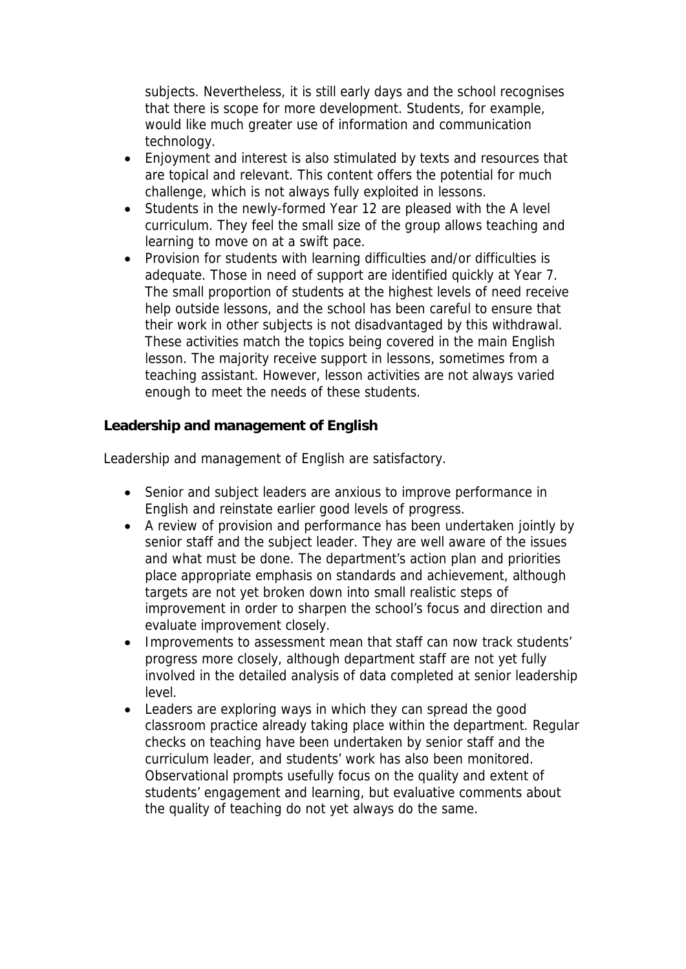subjects. Nevertheless, it is still early days and the school recognises that there is scope for more development. Students, for example, would like much greater use of information and communication technology.

- Enjoyment and interest is also stimulated by texts and resources that are topical and relevant. This content offers the potential for much challenge, which is not always fully exploited in lessons.
- Students in the newly-formed Year 12 are pleased with the A level curriculum. They feel the small size of the group allows teaching and learning to move on at a swift pace.
- Provision for students with learning difficulties and/or difficulties is adequate. Those in need of support are identified quickly at Year 7. The small proportion of students at the highest levels of need receive help outside lessons, and the school has been careful to ensure that their work in other subjects is not disadvantaged by this withdrawal. These activities match the topics being covered in the main English lesson. The majority receive support in lessons, sometimes from a teaching assistant. However, lesson activities are not always varied enough to meet the needs of these students.

**Leadership and management of English**

Leadership and management of English are satisfactory.

- Senior and subject leaders are anxious to improve performance in English and reinstate earlier good levels of progress.
- A review of provision and performance has been undertaken jointly by senior staff and the subject leader. They are well aware of the issues and what must be done. The department's action plan and priorities place appropriate emphasis on standards and achievement, although targets are not yet broken down into small realistic steps of improvement in order to sharpen the school's focus and direction and evaluate improvement closely.
- Improvements to assessment mean that staff can now track students' progress more closely, although department staff are not yet fully involved in the detailed analysis of data completed at senior leadership level.
- Leaders are exploring ways in which they can spread the good classroom practice already taking place within the department. Regular checks on teaching have been undertaken by senior staff and the curriculum leader, and students' work has also been monitored. Observational prompts usefully focus on the quality and extent of students' engagement and learning, but evaluative comments about the quality of teaching do not yet always do the same.